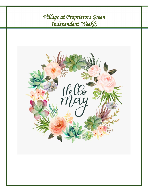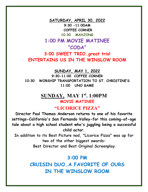**SATURDAY, APRIL 30, 2022 9:30 -11:00AM COFFEE CORNER 10:30 MAHJONG 1:00 PM MOVIE MATINEE "CODA" 3:00 SWEET TRIO…great trio! ENTERTAINS US IN THE WINSLOW ROOM** 

**SUNDAY, MAY 1, 2022**

**9:30-11:00 COFFEE CORNER 10:30 WORSHIP TRANSPORTATION TO ST. CHRISTINE'S 11:00 UNO GAME**

## **SUNDAY, MAY 1st. 1:00PM MOVIE MATINEE**

## **"LICORICE PIZZA"**

**Director Paul Thomas Anderson returns to one of his favorite settings-California's San Fernando Valley-for this coming-of-age tale about a high school student who's juggling being a successful child actor.**

**In addition to its Best Picture nod, "Licorice Pizza" was up for two of the other biggest awards:**

**Best Director and Best Original Screenplay.**

## **3:00 PM**

**CRUISIN DUO…A FAVORITE OF OURS IN THE WINSLOW ROOM**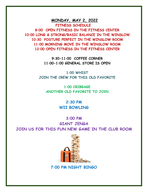**MONDAY, MAY 2, 2022 FITNESS SCHEDULE**

**8:00 OPEN FITNESS IN THE FITNESS CENTER 10:00 LONG & STRONG/BASIC BALANCE IN THE WINSLOW 10:30 POSTURE PERFECT IN THE WINSLOW ROOM 11:00 MORNING MOVE IN THE WINSLOW ROOM 12:00 OPEN FITNESS IN THE FITNESS CENTER**

> **9:30-11:00 COFFEE CORNER 11:00-1:00 GENERAL STORE IS OPEN**

**1:00 WHIST JOIN THE CREW FOR THIS OLD FAVORITE**

**1:00 CRIBBAGE ANOTHER OLD FAVORITE TO JOIN** 

> **2:30 PM WII BOWLING**

**3:00 PM GIANT JENGA JOIN US FOR THIS FUN NEW GAME IN THE CLUB ROOM** 



 **7:00 PM NIGHT BINGO**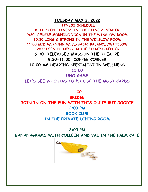### **TUESDAY MAY 3, 2022 FITNESS SCHEDULE**

**8:00 OPEN FITNESS IN THE FITNESS CENTER 9:30 GENTLE MORNING YOGA IN THE WINSLOW ROOM 10:30 LONG & STRONG IN THE WINSLOW ROOM 11:00 MID MORNING MOVE/BASIC BALANCE /WINSLOW 12:00 OPEN FITNESS IN THE FITNESS CENTER 9:30 TELEVISED MASS IN THE THEATRE 9:30-11:00 COFFEE CORNER 10:00 AM HEARING SPECIALIST IN WELLNESS 11:00** 

**UNO GAME LET'S SEE WHO HAS TO PICK UP THE MOST CARDS** 

**1:00** 

**BRIDGE JOIN IN ON THE FUN WITH THIS OLDIE BUT GOODIE 2:00 PM BOOK CLUB IN THE PRIVATE DINING ROOM** 

#### **3:00 PM**

**BANANAGRAMS WITH COLLEEN AND VAL IN THE PALM CAFE**

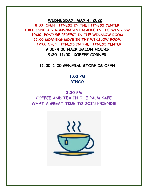**WEDNESDAY, MAY 4, 2022**

**8:00 OPEN FITNESS IN THE FITNESS CENTER 10:00 LONG & STRONG/BASIC BALANCE IN THE WINSLOW 10:30 POSTURE PERFECT IN THE WINSLOW ROOM 11:00 MORNING MOVE IN THE WINSLOW ROOM 12:00 OPEN FITNESS IN THE FITNESS CENTER 9:00-4:00 HAIR SALON HOURS 9:30-11:00 COFFEE CORNER**

**11:00-1:00 GENERAL STORE IS OPEN**

**1:00 PM BINGO**

**2:30 PM COFFEE AND TEA IN THE PALM CAFE WHAT A GREAT TIME TO JOIN FRIENDS!**

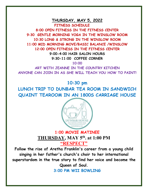### **THURSDAY, MAY 5, 2022 FITNESS SCHEDULE**

**8:00 OPEN FITNESS IN THE FITNESS CENTER 9:30 GENTLE MORNING YOGA IN THE WINSLOW ROOM 10:30 LONG & STRONG IN THE WINSLOW ROOM 11:00 MID MORNING MOVE/BASIC BALANCE /WINSLOW 12:00 OPEN FITNESS IN THE FITNESS CENTER 9:00-4:00 HAIR SALON HOURS 9:30-11:00 COFFEE CORNER**

**10:00**

**ART WITH JEANNE IN THE COUNTRY KITCHEN ANYONE CAN JOIN IN AS SHE WILL TEACH YOU HOW TO PAINT!**

**10:30 pm**

**LUNCH TRIP TO DUNBAR TEA ROOM IN SANDWICH QUAINT TEAROOM IN AN 1800S CARRIAGE HOUSE** 



## **1:00 MOVIE MATINEE THURSDAY, MAY 5th. at 1:00 PM "RESPECT"**

**Follow the rise of Aretha Franklin's career from a young child singing in her father's church's choir to her international superstardom in the true story to find her voice and become the Queen of Soul.**

**3:00 PM WII BOWLING**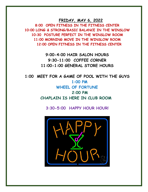**FRIDAY, MAY 6, 2022**

**8:00 OPEN FITNESS IN THE FITNESS CENTER 10:00 LONG & STRONG/BASIC BALANCE IN THE WINSLOW 10:30 POSTURE PERFECT IN THE WINSLOW ROOM 11:00 MORNING MOVE IN THE WINSLOW ROOM 12:00 OPEN FITNESS IN THE FITNESS CENTER**

> **9:00-4:00 HAIR SALON HOURS 9:30-11:00 COFFEE CORNER 11:00-1:00 GENERAL STORE HOURS**

**1:00 MEET FOR A GAME OF POOL WITH THE GUYS 1:00 PM WHEEL OF FORTUNE 2:00 PM CHAPLAIN IS HERE IN CLUB ROOM**

**3:30-5:00 HAPPY HOUR HOUR!** 

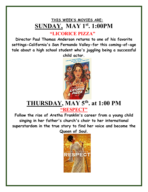# **THIS WEEK'S MOVIES ARE: SUNDAY, MAY 1st. 1:00PM**

# **"LICORICE PIZZA"**

**Director Paul Thomas Anderson returns to one of his favorite settings-California's San Fernando Valley-for this coming-of-age tale about a high school student who's juggling being a successful child actor.**



# **THURSDAY, MAY 5th. at 1:00 PM "RESPECT"**

**Follow the rise of Aretha Franklin's career from a young child singing in her father's church's choir to her international superstardom in the true story to find her voice and become the Queen of Soul.**